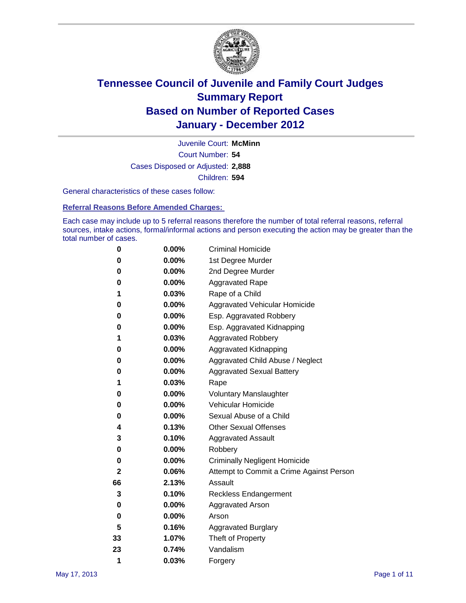

Court Number: **54** Juvenile Court: **McMinn** Cases Disposed or Adjusted: **2,888** Children: **594**

General characteristics of these cases follow:

**Referral Reasons Before Amended Charges:** 

Each case may include up to 5 referral reasons therefore the number of total referral reasons, referral sources, intake actions, formal/informal actions and person executing the action may be greater than the total number of cases.

| 0  | $0.00\%$ | <b>Criminal Homicide</b>                 |
|----|----------|------------------------------------------|
| 0  | 0.00%    | 1st Degree Murder                        |
| 0  | 0.00%    | 2nd Degree Murder                        |
| 0  | 0.00%    | <b>Aggravated Rape</b>                   |
| 1  | 0.03%    | Rape of a Child                          |
| 0  | 0.00%    | Aggravated Vehicular Homicide            |
| 0  | 0.00%    | Esp. Aggravated Robbery                  |
| 0  | 0.00%    | Esp. Aggravated Kidnapping               |
| 1  | 0.03%    | <b>Aggravated Robbery</b>                |
| 0  | 0.00%    | Aggravated Kidnapping                    |
| 0  | 0.00%    | Aggravated Child Abuse / Neglect         |
| 0  | 0.00%    | <b>Aggravated Sexual Battery</b>         |
| 1  | 0.03%    | Rape                                     |
| 0  | $0.00\%$ | <b>Voluntary Manslaughter</b>            |
| 0  | 0.00%    | Vehicular Homicide                       |
| 0  | 0.00%    | Sexual Abuse of a Child                  |
| 4  | 0.13%    | <b>Other Sexual Offenses</b>             |
| 3  | 0.10%    | <b>Aggravated Assault</b>                |
| 0  | 0.00%    | Robbery                                  |
| 0  | 0.00%    | <b>Criminally Negligent Homicide</b>     |
| 2  | 0.06%    | Attempt to Commit a Crime Against Person |
| 66 | 2.13%    | Assault                                  |
| 3  | 0.10%    | <b>Reckless Endangerment</b>             |
| 0  | 0.00%    | <b>Aggravated Arson</b>                  |
| 0  | 0.00%    | Arson                                    |
| 5  | 0.16%    | <b>Aggravated Burglary</b>               |
| 33 | 1.07%    | Theft of Property                        |
| 23 | 0.74%    | Vandalism                                |
| 1  | 0.03%    | Forgery                                  |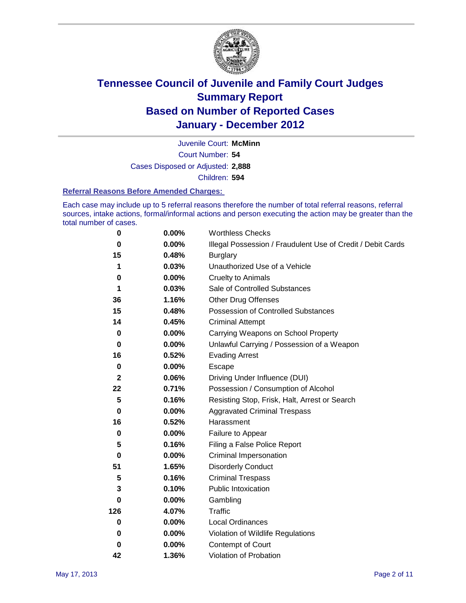

Court Number: **54** Juvenile Court: **McMinn** Cases Disposed or Adjusted: **2,888** Children: **594**

#### **Referral Reasons Before Amended Charges:**

Each case may include up to 5 referral reasons therefore the number of total referral reasons, referral sources, intake actions, formal/informal actions and person executing the action may be greater than the total number of cases.

| $\pmb{0}$    | 0.00%    | <b>Worthless Checks</b>                                     |
|--------------|----------|-------------------------------------------------------------|
| 0            | 0.00%    | Illegal Possession / Fraudulent Use of Credit / Debit Cards |
| 15           | 0.48%    | <b>Burglary</b>                                             |
| 1            | 0.03%    | Unauthorized Use of a Vehicle                               |
| 0            | $0.00\%$ | <b>Cruelty to Animals</b>                                   |
| 1            | 0.03%    | Sale of Controlled Substances                               |
| 36           | 1.16%    | <b>Other Drug Offenses</b>                                  |
| 15           | 0.48%    | Possession of Controlled Substances                         |
| 14           | 0.45%    | <b>Criminal Attempt</b>                                     |
| $\bf{0}$     | 0.00%    | Carrying Weapons on School Property                         |
| 0            | $0.00\%$ | Unlawful Carrying / Possession of a Weapon                  |
| 16           | 0.52%    | <b>Evading Arrest</b>                                       |
| $\mathbf 0$  | 0.00%    | Escape                                                      |
| $\mathbf{2}$ | 0.06%    | Driving Under Influence (DUI)                               |
| 22           | 0.71%    | Possession / Consumption of Alcohol                         |
| 5            | 0.16%    | Resisting Stop, Frisk, Halt, Arrest or Search               |
| $\mathbf 0$  | $0.00\%$ | <b>Aggravated Criminal Trespass</b>                         |
| 16           | 0.52%    | Harassment                                                  |
| $\bf{0}$     | 0.00%    | Failure to Appear                                           |
| 5            | 0.16%    | Filing a False Police Report                                |
| $\bf{0}$     | 0.00%    | Criminal Impersonation                                      |
| 51           | 1.65%    | <b>Disorderly Conduct</b>                                   |
| 5            | 0.16%    | <b>Criminal Trespass</b>                                    |
| 3            | 0.10%    | <b>Public Intoxication</b>                                  |
| 0            | $0.00\%$ | Gambling                                                    |
| 126          | 4.07%    | Traffic                                                     |
| 0            | $0.00\%$ | <b>Local Ordinances</b>                                     |
| 0            | $0.00\%$ | Violation of Wildlife Regulations                           |
| 0            | $0.00\%$ | Contempt of Court                                           |
| 42           | 1.36%    | Violation of Probation                                      |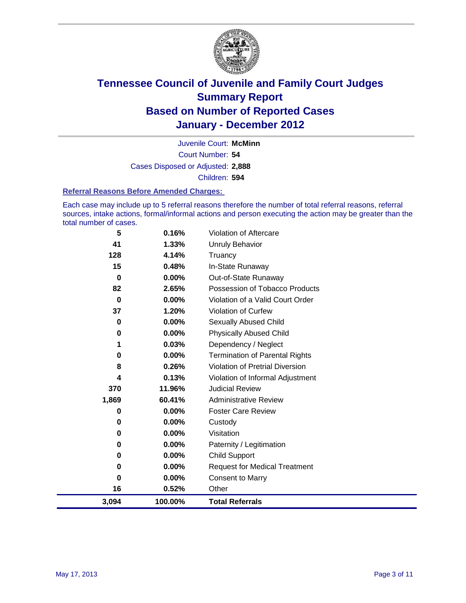

Court Number: **54** Juvenile Court: **McMinn** Cases Disposed or Adjusted: **2,888** Children: **594**

#### **Referral Reasons Before Amended Charges:**

Each case may include up to 5 referral reasons therefore the number of total referral reasons, referral sources, intake actions, formal/informal actions and person executing the action may be greater than the total number of cases.

| 5           | 0.16%    | Violation of Aftercare                 |
|-------------|----------|----------------------------------------|
| 41          | 1.33%    | <b>Unruly Behavior</b>                 |
| 128         | 4.14%    | Truancy                                |
| 15          | 0.48%    | In-State Runaway                       |
| 0           | $0.00\%$ | Out-of-State Runaway                   |
| 82          | 2.65%    | Possession of Tobacco Products         |
| $\mathbf 0$ | 0.00%    | Violation of a Valid Court Order       |
| 37          | 1.20%    | <b>Violation of Curfew</b>             |
| 0           | 0.00%    | <b>Sexually Abused Child</b>           |
| 0           | 0.00%    | <b>Physically Abused Child</b>         |
| 1           | 0.03%    | Dependency / Neglect                   |
| 0           | 0.00%    | <b>Termination of Parental Rights</b>  |
| 8           | 0.26%    | <b>Violation of Pretrial Diversion</b> |
| 4           | 0.13%    | Violation of Informal Adjustment       |
| 370         | 11.96%   | <b>Judicial Review</b>                 |
| 1,869       | 60.41%   | <b>Administrative Review</b>           |
| 0           | $0.00\%$ | <b>Foster Care Review</b>              |
| 0           | 0.00%    | Custody                                |
| 0           | 0.00%    | Visitation                             |
| 0           | 0.00%    | Paternity / Legitimation               |
| 0           | 0.00%    | <b>Child Support</b>                   |
| 0           | 0.00%    | <b>Request for Medical Treatment</b>   |
| 0           | $0.00\%$ | <b>Consent to Marry</b>                |
| 16          | 0.52%    | Other                                  |
| 3,094       | 100.00%  | <b>Total Referrals</b>                 |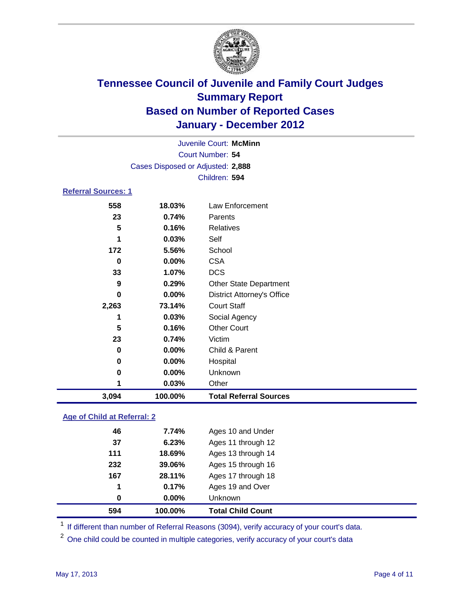

|                            |         | Juvenile Court: McMinn            |  |  |
|----------------------------|---------|-----------------------------------|--|--|
| Court Number: 54           |         |                                   |  |  |
|                            |         | Cases Disposed or Adjusted: 2,888 |  |  |
|                            |         | Children: 594                     |  |  |
| <b>Referral Sources: 1</b> |         |                                   |  |  |
| 558                        | 18.03%  | Law Enforcement                   |  |  |
| 23                         | 0.74%   | Parents                           |  |  |
| 5                          | 0.16%   | <b>Relatives</b>                  |  |  |
| 1                          | 0.03%   | Self                              |  |  |
| 172                        | 5.56%   | School                            |  |  |
| 0                          | 0.00%   | <b>CSA</b>                        |  |  |
| 33                         | 1.07%   | <b>DCS</b>                        |  |  |
| 9                          | 0.29%   | <b>Other State Department</b>     |  |  |
| 0                          | 0.00%   | <b>District Attorney's Office</b> |  |  |
| 2,263                      | 73.14%  | <b>Court Staff</b>                |  |  |
| 1                          | 0.03%   | Social Agency                     |  |  |
| 5                          | 0.16%   | <b>Other Court</b>                |  |  |
| 23                         | 0.74%   | Victim                            |  |  |
| 0                          | 0.00%   | Child & Parent                    |  |  |
| 0                          | 0.00%   | Hospital                          |  |  |
| 0                          | 0.00%   | Unknown                           |  |  |
| 1                          | 0.03%   | Other                             |  |  |
| 3,094                      | 100.00% | <b>Total Referral Sources</b>     |  |  |
|                            |         |                                   |  |  |

### **Age of Child at Referral: 2**

| 594 | 100.00% | <b>Total Child Count</b> |
|-----|---------|--------------------------|
| 0   | 0.00%   | Unknown                  |
| 1   | 0.17%   | Ages 19 and Over         |
| 167 | 28.11%  | Ages 17 through 18       |
| 232 | 39.06%  | Ages 15 through 16       |
| 111 | 18.69%  | Ages 13 through 14       |
| 37  | 6.23%   | Ages 11 through 12       |
| 46  | 7.74%   | Ages 10 and Under        |
|     |         |                          |

<sup>1</sup> If different than number of Referral Reasons (3094), verify accuracy of your court's data.

<sup>2</sup> One child could be counted in multiple categories, verify accuracy of your court's data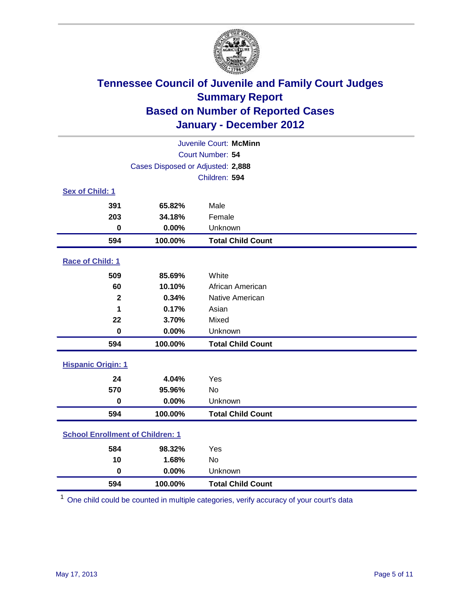

| Juvenile Court: McMinn                  |                                   |                          |  |  |
|-----------------------------------------|-----------------------------------|--------------------------|--|--|
|                                         | Court Number: 54                  |                          |  |  |
|                                         | Cases Disposed or Adjusted: 2,888 |                          |  |  |
|                                         |                                   | Children: 594            |  |  |
| Sex of Child: 1                         |                                   |                          |  |  |
| 391                                     | 65.82%                            | Male                     |  |  |
| 203                                     | 34.18%                            | Female                   |  |  |
| $\bf{0}$                                | 0.00%                             | Unknown                  |  |  |
| 594                                     | 100.00%                           | <b>Total Child Count</b> |  |  |
| Race of Child: 1                        |                                   |                          |  |  |
| 509                                     | 85.69%                            | White                    |  |  |
| 60                                      | 10.10%                            | African American         |  |  |
| $\overline{\mathbf{2}}$                 | 0.34%                             | Native American          |  |  |
| 1                                       | 0.17%                             | Asian                    |  |  |
| 22                                      | 3.70%                             | Mixed                    |  |  |
| $\mathbf 0$                             | 0.00%                             | Unknown                  |  |  |
| 594                                     | 100.00%                           | <b>Total Child Count</b> |  |  |
| <b>Hispanic Origin: 1</b>               |                                   |                          |  |  |
| 24                                      | 4.04%                             | Yes                      |  |  |
| 570                                     | 95.96%                            | <b>No</b>                |  |  |
| $\bf{0}$                                | 0.00%                             | Unknown                  |  |  |
| 594                                     | 100.00%                           | <b>Total Child Count</b> |  |  |
| <b>School Enrollment of Children: 1</b> |                                   |                          |  |  |
| 584                                     | 98.32%                            | Yes                      |  |  |
| 10                                      | 1.68%                             | <b>No</b>                |  |  |
| $\bf{0}$                                | 0.00%                             | Unknown                  |  |  |
| 594                                     | 100.00%                           | <b>Total Child Count</b> |  |  |

One child could be counted in multiple categories, verify accuracy of your court's data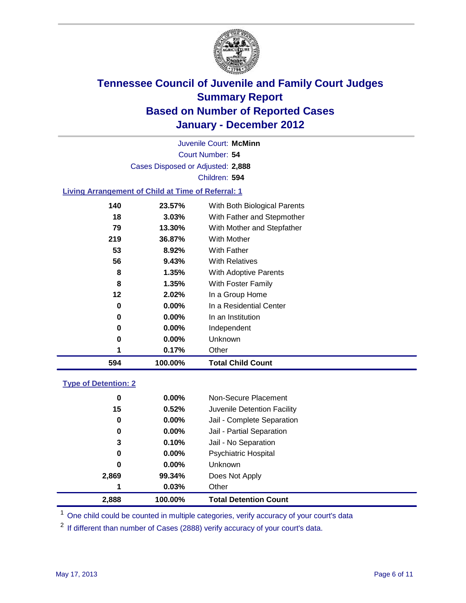

Court Number: **54** Juvenile Court: **McMinn** Cases Disposed or Adjusted: **2,888** Children: **594**

#### **Living Arrangement of Child at Time of Referral: 1**

| 594 | 100.00%  | <b>Total Child Count</b>     |
|-----|----------|------------------------------|
| 1   | 0.17%    | Other                        |
| 0   | $0.00\%$ | Unknown                      |
| 0   | $0.00\%$ | Independent                  |
| 0   | $0.00\%$ | In an Institution            |
| 0   | $0.00\%$ | In a Residential Center      |
| 12  | 2.02%    | In a Group Home              |
| 8   | 1.35%    | With Foster Family           |
| 8   | 1.35%    | With Adoptive Parents        |
| 56  | 9.43%    | <b>With Relatives</b>        |
| 53  | 8.92%    | With Father                  |
| 219 | 36.87%   | With Mother                  |
| 79  | 13.30%   | With Mother and Stepfather   |
| 18  | 3.03%    | With Father and Stepmother   |
| 140 | 23.57%   | With Both Biological Parents |
|     |          |                              |

#### **Type of Detention: 2**

| 2,888 | 100.00%  | <b>Total Detention Count</b> |  |
|-------|----------|------------------------------|--|
| 1     | 0.03%    | Other                        |  |
| 2,869 | 99.34%   | Does Not Apply               |  |
| 0     | $0.00\%$ | Unknown                      |  |
| 0     | $0.00\%$ | <b>Psychiatric Hospital</b>  |  |
| 3     | 0.10%    | Jail - No Separation         |  |
| 0     | $0.00\%$ | Jail - Partial Separation    |  |
| 0     | $0.00\%$ | Jail - Complete Separation   |  |
| 15    | 0.52%    | Juvenile Detention Facility  |  |
| 0     | $0.00\%$ | Non-Secure Placement         |  |
|       |          |                              |  |

<sup>1</sup> One child could be counted in multiple categories, verify accuracy of your court's data

<sup>2</sup> If different than number of Cases (2888) verify accuracy of your court's data.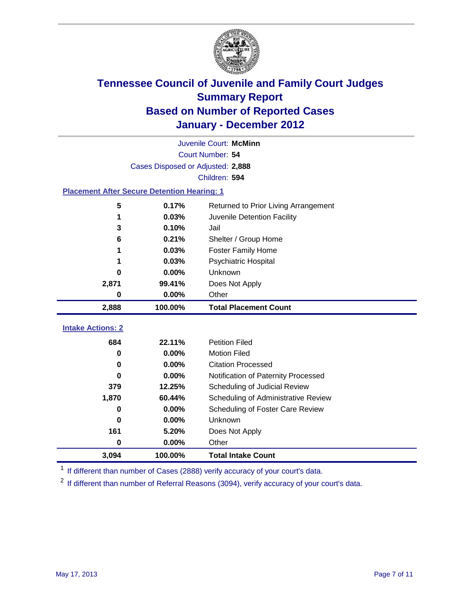

|                                                    | Juvenile Court: McMinn            |                                      |  |  |  |
|----------------------------------------------------|-----------------------------------|--------------------------------------|--|--|--|
|                                                    | Court Number: 54                  |                                      |  |  |  |
|                                                    | Cases Disposed or Adjusted: 2,888 |                                      |  |  |  |
|                                                    |                                   | Children: 594                        |  |  |  |
| <b>Placement After Secure Detention Hearing: 1</b> |                                   |                                      |  |  |  |
| 5                                                  | 0.17%                             | Returned to Prior Living Arrangement |  |  |  |
| 1                                                  | 0.03%                             | Juvenile Detention Facility          |  |  |  |
| 3                                                  | 0.10%                             | Jail                                 |  |  |  |
| 6                                                  | 0.21%                             | Shelter / Group Home                 |  |  |  |
|                                                    | 0.03%                             | <b>Foster Family Home</b>            |  |  |  |
| 1                                                  | 0.03%                             | Psychiatric Hospital                 |  |  |  |
| 0                                                  | 0.00%                             | Unknown                              |  |  |  |
| 2,871                                              | 99.41%                            | Does Not Apply                       |  |  |  |
| 0                                                  | 0.00%                             | Other                                |  |  |  |
| 2,888                                              | 100.00%                           | <b>Total Placement Count</b>         |  |  |  |
|                                                    |                                   |                                      |  |  |  |
| <b>Intake Actions: 2</b>                           |                                   |                                      |  |  |  |
| 684                                                | 22.11%                            | <b>Petition Filed</b>                |  |  |  |
| 0                                                  | 0.00%                             | <b>Motion Filed</b>                  |  |  |  |
| $\bf{0}$                                           | 0.00%                             | <b>Citation Processed</b>            |  |  |  |
| 0                                                  | 0.00%                             | Notification of Paternity Processed  |  |  |  |
| 379                                                | 12.25%                            | Scheduling of Judicial Review        |  |  |  |
| 1,870                                              | 60.44%                            | Scheduling of Administrative Review  |  |  |  |
| 0                                                  | 0.00%                             | Scheduling of Foster Care Review     |  |  |  |
| $\bf{0}$                                           | 0.00%                             | Unknown                              |  |  |  |
| 161                                                | 5.20%                             | Does Not Apply                       |  |  |  |
| 0                                                  | 0.00%                             | Other                                |  |  |  |
| 3,094                                              | 100.00%                           | <b>Total Intake Count</b>            |  |  |  |

<sup>1</sup> If different than number of Cases (2888) verify accuracy of your court's data.

<sup>2</sup> If different than number of Referral Reasons (3094), verify accuracy of your court's data.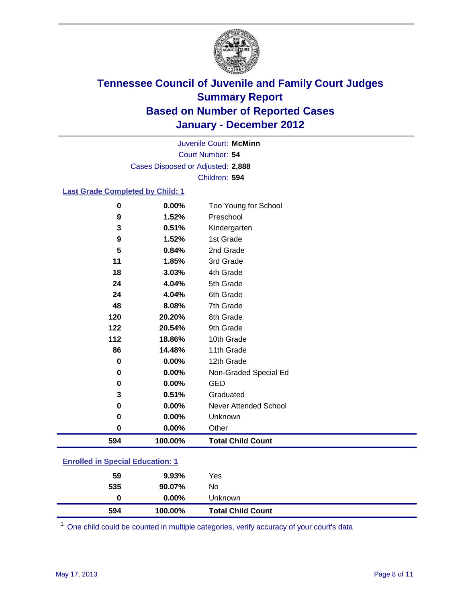

Court Number: **54** Juvenile Court: **McMinn** Cases Disposed or Adjusted: **2,888** Children: **594**

#### **Last Grade Completed by Child: 1**

| 0                                       | 0.00%    | Too Young for School         |  |
|-----------------------------------------|----------|------------------------------|--|
| 9                                       | 1.52%    | Preschool                    |  |
| 3                                       | 0.51%    | Kindergarten                 |  |
| 9                                       | 1.52%    | 1st Grade                    |  |
| 5                                       | 0.84%    | 2nd Grade                    |  |
| 11                                      | 1.85%    | 3rd Grade                    |  |
| 18                                      | 3.03%    | 4th Grade                    |  |
| 24                                      | 4.04%    | 5th Grade                    |  |
| 24                                      | 4.04%    | 6th Grade                    |  |
| 48                                      | 8.08%    | 7th Grade                    |  |
| 120                                     | 20.20%   | 8th Grade                    |  |
| 122                                     | 20.54%   | 9th Grade                    |  |
| 112                                     | 18.86%   | 10th Grade                   |  |
| 86                                      | 14.48%   | 11th Grade                   |  |
| $\mathbf 0$                             | 0.00%    | 12th Grade                   |  |
| 0                                       | 0.00%    | Non-Graded Special Ed        |  |
| $\pmb{0}$                               | 0.00%    | <b>GED</b>                   |  |
| 3                                       | 0.51%    | Graduated                    |  |
| 0                                       | 0.00%    | <b>Never Attended School</b> |  |
| 0                                       | 0.00%    | Unknown                      |  |
| $\mathbf 0$                             | $0.00\%$ | Other                        |  |
| 594                                     | 100.00%  | <b>Total Child Count</b>     |  |
| <b>Enrolled in Special Education: 1</b> |          |                              |  |

| 594                                       | 100.00%  | <b>Total Child Count</b> |  |  |
|-------------------------------------------|----------|--------------------------|--|--|
| 0                                         | $0.00\%$ | Unknown                  |  |  |
| 535                                       | 90.07%   | No                       |  |  |
| 59                                        | $9.93\%$ | Yes                      |  |  |
| <u>Lillolled III opecial Ludcation. T</u> |          |                          |  |  |

One child could be counted in multiple categories, verify accuracy of your court's data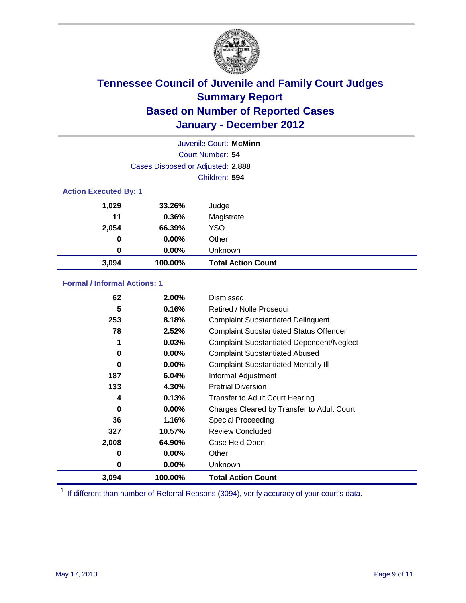

|                              | Juvenile Court: McMinn            |                           |  |  |
|------------------------------|-----------------------------------|---------------------------|--|--|
|                              | Court Number: 54                  |                           |  |  |
|                              | Cases Disposed or Adjusted: 2,888 |                           |  |  |
|                              |                                   | Children: 594             |  |  |
| <b>Action Executed By: 1</b> |                                   |                           |  |  |
| 1,029                        | 33.26%                            | Judge                     |  |  |
| 11                           | 0.36%                             | Magistrate                |  |  |
| 2,054                        | 66.39%                            | <b>YSO</b>                |  |  |
| $\bf{0}$                     | 0.00%                             | Other                     |  |  |
| 0                            | 0.00%                             | Unknown                   |  |  |
| 3,094                        | 100.00%                           | <b>Total Action Count</b> |  |  |

### **Formal / Informal Actions: 1**

| 62    | 2.00%    | Dismissed                                        |
|-------|----------|--------------------------------------------------|
| 5     | 0.16%    | Retired / Nolle Prosequi                         |
| 253   | 8.18%    | <b>Complaint Substantiated Delinquent</b>        |
| 78    | 2.52%    | <b>Complaint Substantiated Status Offender</b>   |
| 1     | 0.03%    | <b>Complaint Substantiated Dependent/Neglect</b> |
| 0     | $0.00\%$ | <b>Complaint Substantiated Abused</b>            |
| 0     | $0.00\%$ | <b>Complaint Substantiated Mentally III</b>      |
| 187   | 6.04%    | Informal Adjustment                              |
| 133   | 4.30%    | <b>Pretrial Diversion</b>                        |
| 4     | 0.13%    | <b>Transfer to Adult Court Hearing</b>           |
| 0     | $0.00\%$ | Charges Cleared by Transfer to Adult Court       |
| 36    | 1.16%    | Special Proceeding                               |
| 327   | 10.57%   | <b>Review Concluded</b>                          |
| 2,008 | 64.90%   | Case Held Open                                   |
| 0     | $0.00\%$ | Other                                            |
| 0     | $0.00\%$ | <b>Unknown</b>                                   |
| 3,094 | 100.00%  | <b>Total Action Count</b>                        |

<sup>1</sup> If different than number of Referral Reasons (3094), verify accuracy of your court's data.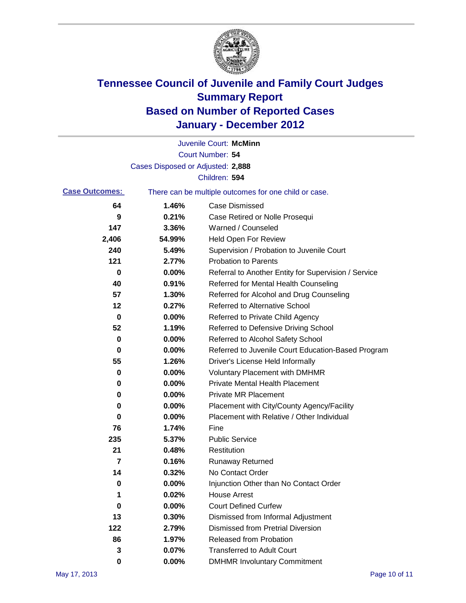

|                       |                                   | Juvenile Court: McMinn                                |
|-----------------------|-----------------------------------|-------------------------------------------------------|
|                       |                                   | Court Number: 54                                      |
|                       | Cases Disposed or Adjusted: 2,888 |                                                       |
|                       |                                   | Children: 594                                         |
| <b>Case Outcomes:</b> |                                   | There can be multiple outcomes for one child or case. |
| 64                    | 1.46%                             | <b>Case Dismissed</b>                                 |
| 9                     | 0.21%                             | Case Retired or Nolle Prosequi                        |
| 147                   | 3.36%                             | Warned / Counseled                                    |
| 2,406                 | 54.99%                            | <b>Held Open For Review</b>                           |
| 240                   | 5.49%                             | Supervision / Probation to Juvenile Court             |
| 121                   | 2.77%                             | <b>Probation to Parents</b>                           |
| 0                     | 0.00%                             | Referral to Another Entity for Supervision / Service  |
| 40                    | 0.91%                             | Referred for Mental Health Counseling                 |
| 57                    | 1.30%                             | Referred for Alcohol and Drug Counseling              |
| 12                    | 0.27%                             | <b>Referred to Alternative School</b>                 |
| 0                     | 0.00%                             | Referred to Private Child Agency                      |
| 52                    | 1.19%                             | Referred to Defensive Driving School                  |
| 0                     | 0.00%                             | Referred to Alcohol Safety School                     |
| 0                     | 0.00%                             | Referred to Juvenile Court Education-Based Program    |
| 55                    | 1.26%                             | Driver's License Held Informally                      |
| 0                     | 0.00%                             | <b>Voluntary Placement with DMHMR</b>                 |
| 0                     | 0.00%                             | <b>Private Mental Health Placement</b>                |
| 0                     | 0.00%                             | <b>Private MR Placement</b>                           |
| 0                     | 0.00%                             | Placement with City/County Agency/Facility            |
| 0                     | 0.00%                             | Placement with Relative / Other Individual            |
| 76                    | 1.74%                             | Fine                                                  |
| 235                   | 5.37%                             | <b>Public Service</b>                                 |
| 21                    | 0.48%                             | Restitution                                           |
| 7                     | 0.16%                             | <b>Runaway Returned</b>                               |
| 14                    | 0.32%                             | No Contact Order                                      |
| 0                     | 0.00%                             | Injunction Other than No Contact Order                |
| 1                     | 0.02%                             | <b>House Arrest</b>                                   |
| 0                     | 0.00%                             | <b>Court Defined Curfew</b>                           |
| 13                    | 0.30%                             | Dismissed from Informal Adjustment                    |
| 122                   | 2.79%                             | <b>Dismissed from Pretrial Diversion</b>              |
| 86                    | 1.97%                             | Released from Probation                               |
| 3                     | 0.07%                             | <b>Transferred to Adult Court</b>                     |
| 0                     | $0.00\%$                          | <b>DMHMR Involuntary Commitment</b>                   |